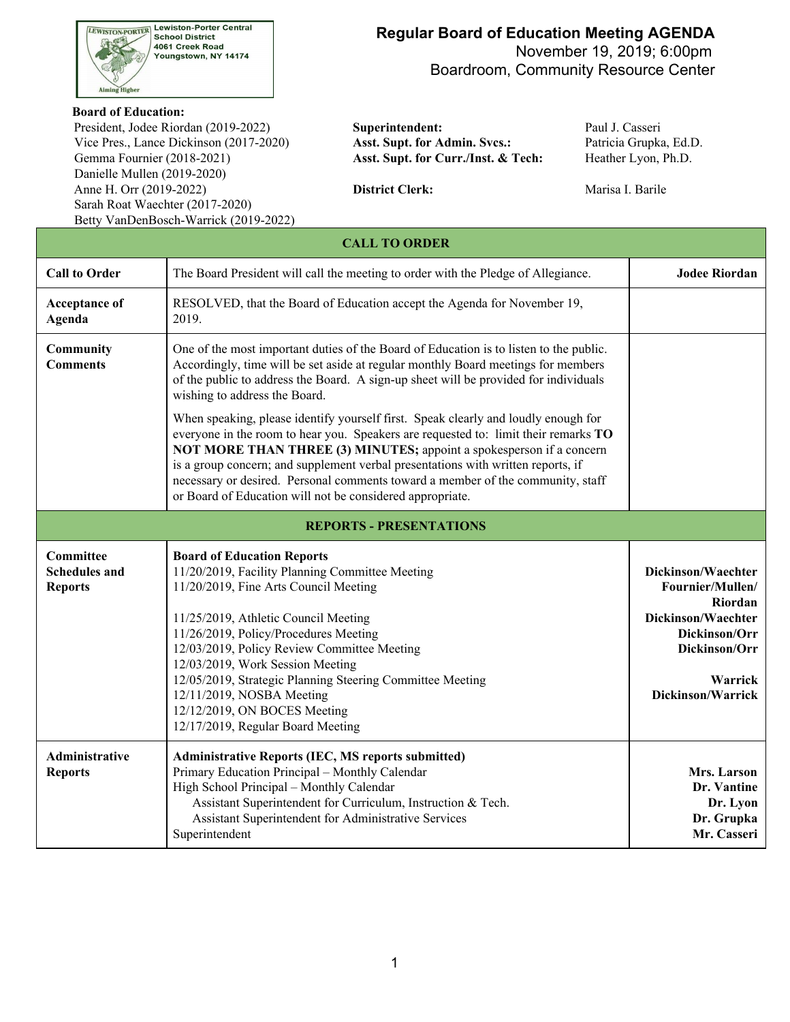

## **Regular Board of Education Meeting AGENDA**

 November 19, 2019; 6:00pm Boardroom, Community Resource Center

#### **Board of Education:**

 Vice Pres., Lance Dickinson (2017-2020) **Asst. Supt. for Admin. Svcs.:** Patricia Grupka, Ed.D. Gemma Fournier (2018-2021) Danielle Mullen (2019-2020) Sarah Roat Waechter (2017-2020) President, Jodee Riordan (2019-2022) **Superintendent:** Paul J. Casseri Anne H. Orr (2019-2022) **District Clerk:** Marisa I. Barile Betty VanDenBosch-Warrick (2019-2022)

Asst. Supt. for Curr./Inst. & Tech: Heather Lyon, Ph.D.

| <b>CALL TO ORDER</b>                                       |                                                                                                                                                                                                                                                                                                                                                                                                                                                                                       |                                                                                                                                           |  |  |  |  |  |
|------------------------------------------------------------|---------------------------------------------------------------------------------------------------------------------------------------------------------------------------------------------------------------------------------------------------------------------------------------------------------------------------------------------------------------------------------------------------------------------------------------------------------------------------------------|-------------------------------------------------------------------------------------------------------------------------------------------|--|--|--|--|--|
| <b>Call to Order</b>                                       | The Board President will call the meeting to order with the Pledge of Allegiance.                                                                                                                                                                                                                                                                                                                                                                                                     | <b>Jodee Riordan</b>                                                                                                                      |  |  |  |  |  |
| Acceptance of<br>Agenda                                    | RESOLVED, that the Board of Education accept the Agenda for November 19,<br>2019.                                                                                                                                                                                                                                                                                                                                                                                                     |                                                                                                                                           |  |  |  |  |  |
| Community<br><b>Comments</b>                               | One of the most important duties of the Board of Education is to listen to the public.<br>Accordingly, time will be set aside at regular monthly Board meetings for members<br>of the public to address the Board. A sign-up sheet will be provided for individuals<br>wishing to address the Board.                                                                                                                                                                                  |                                                                                                                                           |  |  |  |  |  |
|                                                            | When speaking, please identify yourself first. Speak clearly and loudly enough for<br>everyone in the room to hear you. Speakers are requested to: limit their remarks TO<br>NOT MORE THAN THREE (3) MINUTES; appoint a spokesperson if a concern<br>is a group concern; and supplement verbal presentations with written reports, if<br>necessary or desired. Personal comments toward a member of the community, staff<br>or Board of Education will not be considered appropriate. |                                                                                                                                           |  |  |  |  |  |
|                                                            | <b>REPORTS - PRESENTATIONS</b>                                                                                                                                                                                                                                                                                                                                                                                                                                                        |                                                                                                                                           |  |  |  |  |  |
| <b>Committee</b><br><b>Schedules and</b><br><b>Reports</b> | <b>Board of Education Reports</b><br>11/20/2019, Facility Planning Committee Meeting<br>11/20/2019, Fine Arts Council Meeting<br>11/25/2019, Athletic Council Meeting<br>11/26/2019, Policy/Procedures Meeting<br>12/03/2019, Policy Review Committee Meeting<br>12/03/2019, Work Session Meeting<br>12/05/2019, Strategic Planning Steering Committee Meeting<br>12/11/2019, NOSBA Meeting<br>12/12/2019, ON BOCES Meeting<br>12/17/2019, Regular Board Meeting                      | Dickinson/Waechter<br>Fournier/Mullen/<br>Riordan<br>Dickinson/Waechter<br>Dickinson/Orr<br>Dickinson/Orr<br>Warrick<br>Dickinson/Warrick |  |  |  |  |  |
| <b>Administrative</b><br><b>Reports</b>                    | <b>Administrative Reports (IEC, MS reports submitted)</b><br>Primary Education Principal - Monthly Calendar<br>High School Principal - Monthly Calendar<br>Assistant Superintendent for Curriculum, Instruction & Tech.<br>Assistant Superintendent for Administrative Services<br>Superintendent                                                                                                                                                                                     | Mrs. Larson<br>Dr. Vantine<br>Dr. Lyon<br>Dr. Grupka<br>Mr. Casseri                                                                       |  |  |  |  |  |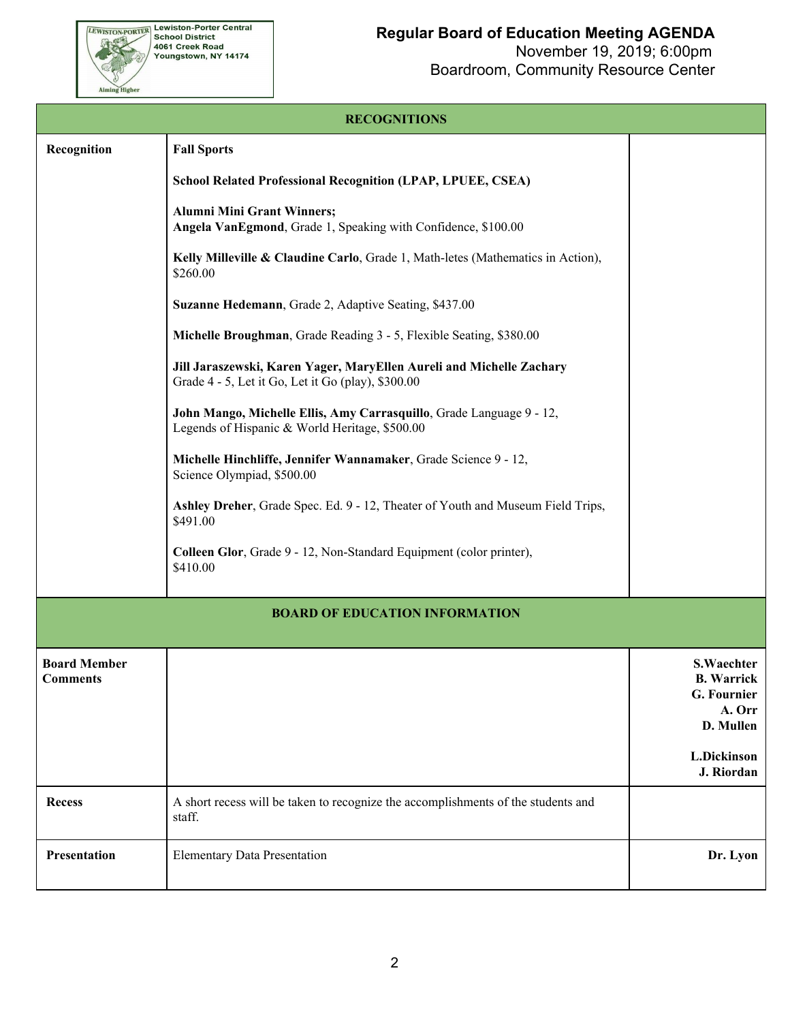

**RECOGNITIONS**

| Recognition                            | <b>Fall Sports</b>                                                                                                         |                                                                              |
|----------------------------------------|----------------------------------------------------------------------------------------------------------------------------|------------------------------------------------------------------------------|
|                                        | <b>School Related Professional Recognition (LPAP, LPUEE, CSEA)</b>                                                         |                                                                              |
|                                        | Alumni Mini Grant Winners;<br>Angela VanEgmond, Grade 1, Speaking with Confidence, \$100.00                                |                                                                              |
|                                        | Kelly Milleville & Claudine Carlo, Grade 1, Math-letes (Mathematics in Action),<br>\$260.00                                |                                                                              |
|                                        | Suzanne Hedemann, Grade 2, Adaptive Seating, \$437.00                                                                      |                                                                              |
|                                        | Michelle Broughman, Grade Reading 3 - 5, Flexible Seating, \$380.00                                                        |                                                                              |
|                                        | Jill Jaraszewski, Karen Yager, MaryEllen Aureli and Michelle Zachary<br>Grade 4 - 5, Let it Go, Let it Go (play), \$300.00 |                                                                              |
|                                        | John Mango, Michelle Ellis, Amy Carrasquillo, Grade Language 9 - 12,<br>Legends of Hispanic & World Heritage, \$500.00     |                                                                              |
|                                        | Michelle Hinchliffe, Jennifer Wannamaker, Grade Science 9 - 12,<br>Science Olympiad, \$500.00                              |                                                                              |
|                                        | Ashley Dreher, Grade Spec. Ed. 9 - 12, Theater of Youth and Museum Field Trips,<br>\$491.00                                |                                                                              |
|                                        | Colleen Glor, Grade 9 - 12, Non-Standard Equipment (color printer),<br>\$410.00                                            |                                                                              |
|                                        |                                                                                                                            |                                                                              |
|                                        | <b>BOARD OF EDUCATION INFORMATION</b>                                                                                      |                                                                              |
| <b>Board Member</b><br><b>Comments</b> |                                                                                                                            | <b>S.Waechter</b><br><b>B.</b> Warrick<br>G. Fournier<br>A. Orr<br>D. Mullen |
|                                        |                                                                                                                            | L.Dickinson<br>J. Riordan                                                    |
| <b>Recess</b>                          | A short recess will be taken to recognize the accomplishments of the students and<br>staff.                                |                                                                              |
| Presentation                           | <b>Elementary Data Presentation</b>                                                                                        | Dr. Lyon                                                                     |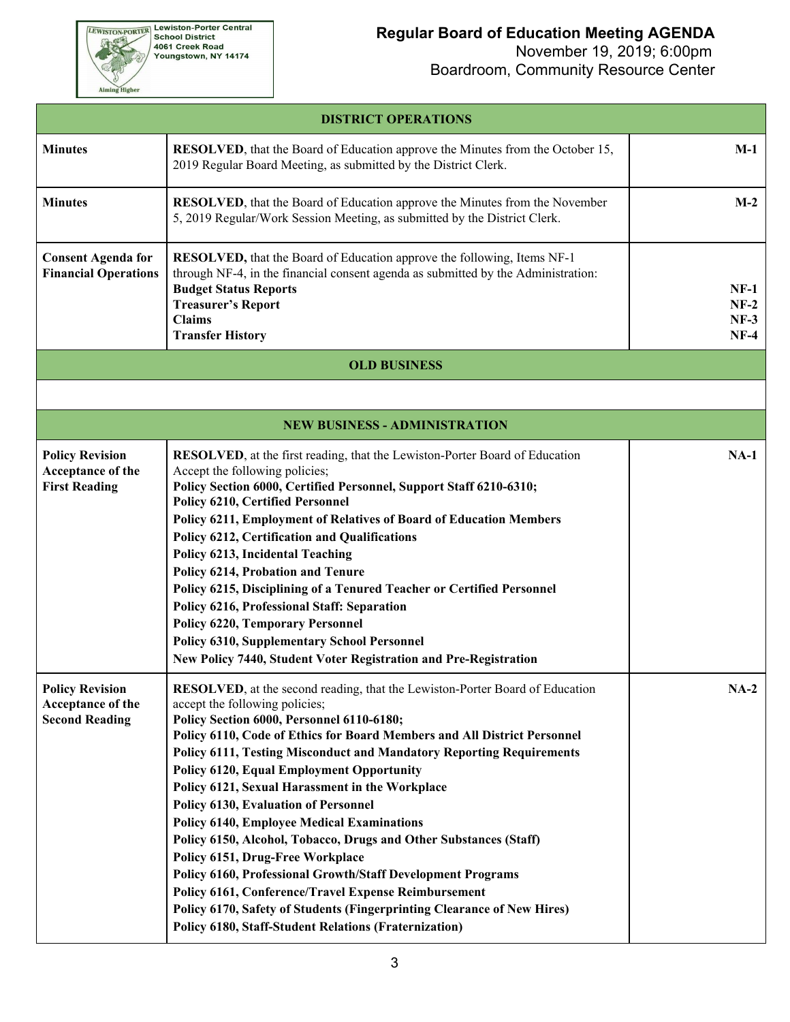**EWISTON-PORTER Lewiston-Porter Central**<br>School District<br>4061 Creek Road<br>Youngstown, NY 14174

Aiming Higher

## **Regular Board of Education Meeting AGENDA**

| <b>DISTRICT OPERATIONS</b>                                           |                                                                                                                                                                                                                                                                                                                                                                                                                                                                                                                                                                                                                                                                                                                                                                                                                                                                                                                     |                                      |  |  |  |  |
|----------------------------------------------------------------------|---------------------------------------------------------------------------------------------------------------------------------------------------------------------------------------------------------------------------------------------------------------------------------------------------------------------------------------------------------------------------------------------------------------------------------------------------------------------------------------------------------------------------------------------------------------------------------------------------------------------------------------------------------------------------------------------------------------------------------------------------------------------------------------------------------------------------------------------------------------------------------------------------------------------|--------------------------------------|--|--|--|--|
| <b>Minutes</b>                                                       | <b>RESOLVED</b> , that the Board of Education approve the Minutes from the October 15,<br>2019 Regular Board Meeting, as submitted by the District Clerk.                                                                                                                                                                                                                                                                                                                                                                                                                                                                                                                                                                                                                                                                                                                                                           | $M-1$                                |  |  |  |  |
| <b>Minutes</b>                                                       | RESOLVED, that the Board of Education approve the Minutes from the November<br>5, 2019 Regular/Work Session Meeting, as submitted by the District Clerk.                                                                                                                                                                                                                                                                                                                                                                                                                                                                                                                                                                                                                                                                                                                                                            | $M-2$                                |  |  |  |  |
| <b>Consent Agenda for</b><br><b>Financial Operations</b>             | <b>RESOLVED</b> , that the Board of Education approve the following, Items NF-1<br>through NF-4, in the financial consent agenda as submitted by the Administration:<br><b>Budget Status Reports</b><br><b>Treasurer's Report</b><br><b>Claims</b><br><b>Transfer History</b>                                                                                                                                                                                                                                                                                                                                                                                                                                                                                                                                                                                                                                       | $NF-1$<br>$NF-2$<br>$NF-3$<br>$NF-4$ |  |  |  |  |
|                                                                      | <b>OLD BUSINESS</b>                                                                                                                                                                                                                                                                                                                                                                                                                                                                                                                                                                                                                                                                                                                                                                                                                                                                                                 |                                      |  |  |  |  |
|                                                                      |                                                                                                                                                                                                                                                                                                                                                                                                                                                                                                                                                                                                                                                                                                                                                                                                                                                                                                                     |                                      |  |  |  |  |
|                                                                      | <b>NEW BUSINESS - ADMINISTRATION</b>                                                                                                                                                                                                                                                                                                                                                                                                                                                                                                                                                                                                                                                                                                                                                                                                                                                                                |                                      |  |  |  |  |
| <b>Policy Revision</b><br>Acceptance of the<br><b>First Reading</b>  | RESOLVED, at the first reading, that the Lewiston-Porter Board of Education<br>Accept the following policies;<br>Policy Section 6000, Certified Personnel, Support Staff 6210-6310;<br>Policy 6210, Certified Personnel<br>Policy 6211, Employment of Relatives of Board of Education Members<br>Policy 6212, Certification and Qualifications<br>Policy 6213, Incidental Teaching<br>Policy 6214, Probation and Tenure<br>Policy 6215, Disciplining of a Tenured Teacher or Certified Personnel<br>Policy 6216, Professional Staff: Separation<br><b>Policy 6220, Temporary Personnel</b><br><b>Policy 6310, Supplementary School Personnel</b><br>New Policy 7440, Student Voter Registration and Pre-Registration                                                                                                                                                                                                | $NA-1$                               |  |  |  |  |
| <b>Policy Revision</b><br>Acceptance of the<br><b>Second Reading</b> | RESOLVED, at the second reading, that the Lewiston-Porter Board of Education<br>accept the following policies;<br>Policy Section 6000, Personnel 6110-6180;<br>Policy 6110, Code of Ethics for Board Members and All District Personnel<br><b>Policy 6111, Testing Misconduct and Mandatory Reporting Requirements</b><br><b>Policy 6120, Equal Employment Opportunity</b><br>Policy 6121, Sexual Harassment in the Workplace<br><b>Policy 6130, Evaluation of Personnel</b><br><b>Policy 6140, Employee Medical Examinations</b><br>Policy 6150, Alcohol, Tobacco, Drugs and Other Substances (Staff)<br>Policy 6151, Drug-Free Workplace<br><b>Policy 6160, Professional Growth/Staff Development Programs</b><br>Policy 6161, Conference/Travel Expense Reimbursement<br>Policy 6170, Safety of Students (Fingerprinting Clearance of New Hires)<br><b>Policy 6180, Staff-Student Relations (Fraternization)</b> | $NA-2$                               |  |  |  |  |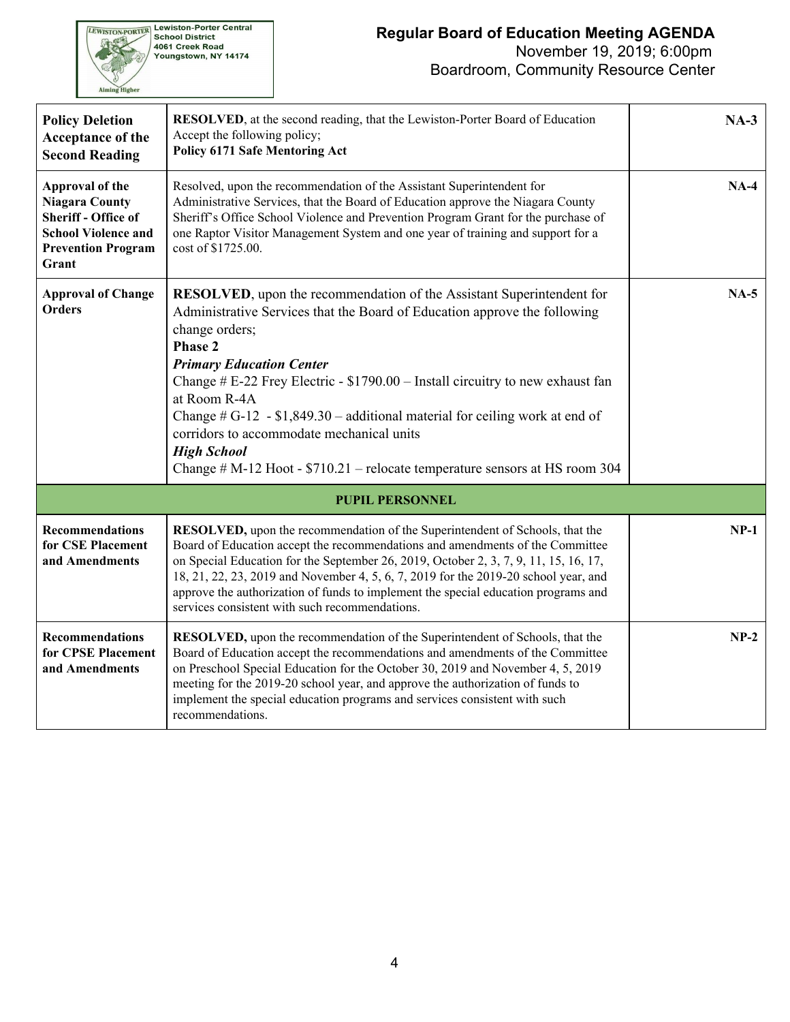

| <b>Policy Deletion</b><br>Acceptance of the<br><b>Second Reading</b>                                                                       | RESOLVED, at the second reading, that the Lewiston-Porter Board of Education<br>Accept the following policy;<br><b>Policy 6171 Safe Mentoring Act</b>                                                                                                                                                                                                                                                                                                                                                                                                               | $NA-3$ |  |  |  |  |  |
|--------------------------------------------------------------------------------------------------------------------------------------------|---------------------------------------------------------------------------------------------------------------------------------------------------------------------------------------------------------------------------------------------------------------------------------------------------------------------------------------------------------------------------------------------------------------------------------------------------------------------------------------------------------------------------------------------------------------------|--------|--|--|--|--|--|
| Approval of the<br><b>Niagara County</b><br><b>Sheriff - Office of</b><br><b>School Violence and</b><br><b>Prevention Program</b><br>Grant | Resolved, upon the recommendation of the Assistant Superintendent for<br>Administrative Services, that the Board of Education approve the Niagara County<br>Sheriff's Office School Violence and Prevention Program Grant for the purchase of<br>one Raptor Visitor Management System and one year of training and support for a<br>cost of \$1725.00.                                                                                                                                                                                                              | $NA-4$ |  |  |  |  |  |
| <b>Approval of Change</b><br><b>Orders</b>                                                                                                 | <b>RESOLVED</b> , upon the recommendation of the Assistant Superintendent for<br>Administrative Services that the Board of Education approve the following<br>change orders;<br>Phase 2<br><b>Primary Education Center</b><br>Change # E-22 Frey Electric - \$1790.00 - Install circuitry to new exhaust fan<br>at Room R-4A<br>Change $\# G$ -12 - \$1,849.30 – additional material for ceiling work at end of<br>corridors to accommodate mechanical units<br><b>High School</b><br>Change $# M-12$ Hoot - \$710.21 – relocate temperature sensors at HS room 304 | $NA-5$ |  |  |  |  |  |
| <b>PUPIL PERSONNEL</b>                                                                                                                     |                                                                                                                                                                                                                                                                                                                                                                                                                                                                                                                                                                     |        |  |  |  |  |  |
| <b>Recommendations</b><br>for CSE Placement<br>and Amendments                                                                              | RESOLVED, upon the recommendation of the Superintendent of Schools, that the<br>Board of Education accept the recommendations and amendments of the Committee<br>on Special Education for the September 26, 2019, October 2, 3, 7, 9, 11, 15, 16, 17,<br>18, 21, 22, 23, 2019 and November 4, 5, 6, 7, 2019 for the 2019-20 school year, and<br>approve the authorization of funds to implement the special education programs and<br>services consistent with such recommendations.                                                                                | $NP-1$ |  |  |  |  |  |
| <b>Recommendations</b><br>for CPSE Placement<br>and Amendments                                                                             | RESOLVED, upon the recommendation of the Superintendent of Schools, that the<br>Board of Education accept the recommendations and amendments of the Committee<br>on Preschool Special Education for the October 30, 2019 and November 4, 5, 2019<br>meeting for the 2019-20 school year, and approve the authorization of funds to<br>implement the special education programs and services consistent with such<br>recommendations.                                                                                                                                | $NP-2$ |  |  |  |  |  |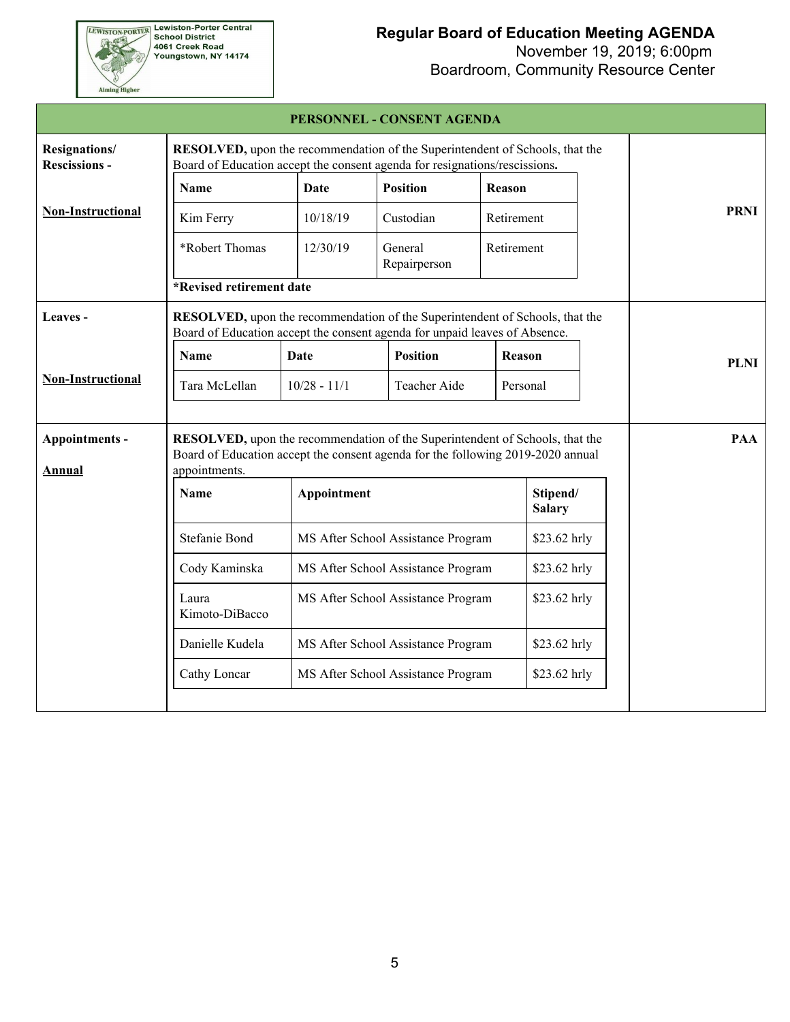**EEWISTON-PORTER Lewiston-Porter Central**<br>School District<br>4061 Creek Road<br>Youngstown, NY 14174

Aiming Higher

# **Regular Board of Education Meeting AGENDA**

November 19, 2019; 6:00pm

Boardroom, Community Resource Center

|                                       |                                                                                                                                                                                          |                                    | PERSONNEL - CONSENT AGENDA         |               |                           |              |             |
|---------------------------------------|------------------------------------------------------------------------------------------------------------------------------------------------------------------------------------------|------------------------------------|------------------------------------|---------------|---------------------------|--------------|-------------|
| Resignations/<br><b>Rescissions -</b> | <b>RESOLVED</b> , upon the recommendation of the Superintendent of Schools, that the<br>Board of Education accept the consent agenda for resignations/rescissions.                       |                                    |                                    |               |                           |              |             |
|                                       | Name                                                                                                                                                                                     | Date                               | <b>Position</b>                    | Reason        |                           |              |             |
| <b>Non-Instructional</b>              | Kim Ferry                                                                                                                                                                                | 10/18/19                           | Custodian                          |               | Retirement                |              | <b>PRNI</b> |
|                                       | *Robert Thomas                                                                                                                                                                           | 12/30/19                           | General<br>Repairperson            |               | Retirement                |              |             |
|                                       | *Revised retirement date                                                                                                                                                                 |                                    |                                    |               |                           |              |             |
| Leaves -                              | RESOLVED, upon the recommendation of the Superintendent of Schools, that the<br>Board of Education accept the consent agenda for unpaid leaves of Absence.                               |                                    |                                    |               |                           |              |             |
|                                       | <b>Name</b>                                                                                                                                                                              | Date                               | <b>Position</b>                    | <b>Reason</b> |                           |              | <b>PLNI</b> |
| <b>Non-Instructional</b>              | Tara McLellan                                                                                                                                                                            | $10/28 - 11/1$                     | Teacher Aide                       | Personal      |                           |              |             |
| Appointments -<br><b>Annual</b>       | <b>RESOLVED</b> , upon the recommendation of the Superintendent of Schools, that the<br>Board of Education accept the consent agenda for the following 2019-2020 annual<br>appointments. |                                    |                                    |               |                           |              | <b>PAA</b>  |
|                                       | <b>Name</b>                                                                                                                                                                              | Appointment                        |                                    |               | Stipend/<br><b>Salary</b> |              |             |
|                                       | <b>Stefanie Bond</b>                                                                                                                                                                     | MS After School Assistance Program | \$23.62 hrly                       |               |                           |              |             |
|                                       | Cody Kaminska                                                                                                                                                                            |                                    | MS After School Assistance Program |               |                           | \$23.62 hrly |             |
|                                       | Laura<br>Kimoto-DiBacco                                                                                                                                                                  |                                    | MS After School Assistance Program |               |                           | \$23.62 hrly |             |
|                                       | Danielle Kudela                                                                                                                                                                          |                                    | MS After School Assistance Program |               | \$23.62 hrly              |              |             |
|                                       | Cathy Loncar                                                                                                                                                                             |                                    | MS After School Assistance Program |               | \$23.62 hrly              |              |             |
|                                       |                                                                                                                                                                                          |                                    |                                    |               |                           |              |             |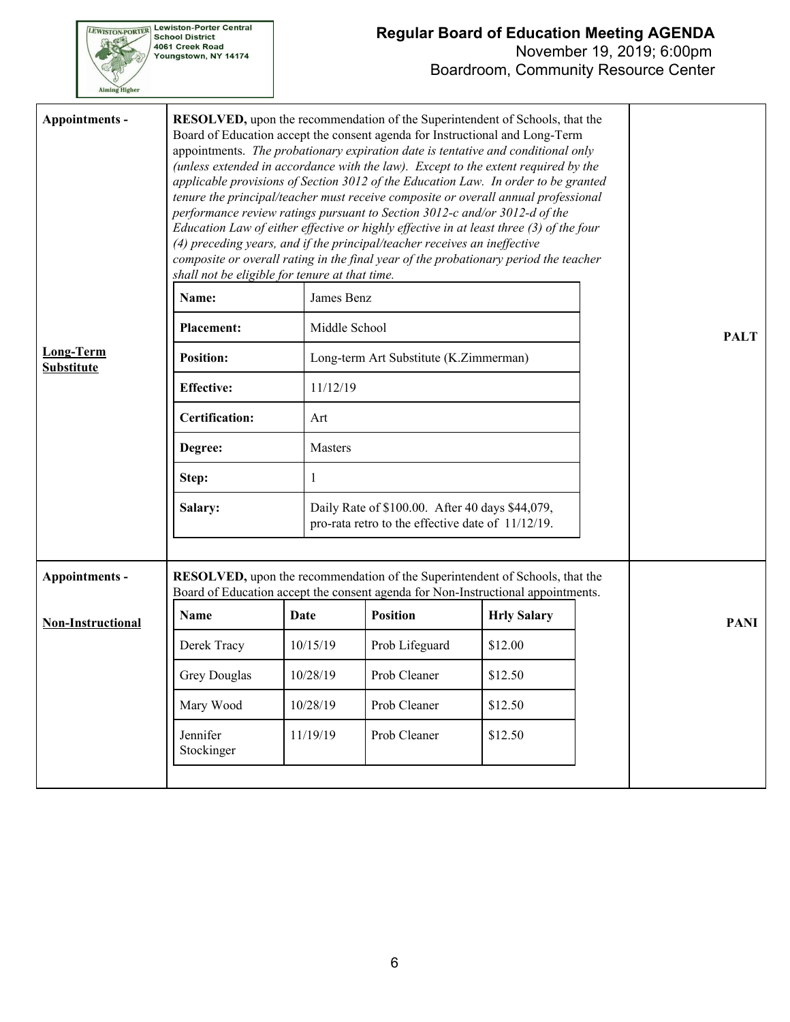| <b>TSTON-PORT</b> | <b>Lewiston-Porter Central</b><br><b>School District</b><br>4061 Creek Road<br>Youngstown, NY 14174 |
|-------------------|-----------------------------------------------------------------------------------------------------|
|                   |                                                                                                     |

### **Regular Board of Education Meeting AGENDA**

| Appointments -                        | shall not be eligible for tenure at that time. |               | <b>RESOLVED</b> , upon the recommendation of the Superintendent of Schools, that the<br>Board of Education accept the consent agenda for Instructional and Long-Term<br>appointments. The probationary expiration date is tentative and conditional only<br>(unless extended in accordance with the law). Except to the extent required by the<br>applicable provisions of Section 3012 of the Education Law. In order to be granted<br>tenure the principal/teacher must receive composite or overall annual professional<br>performance review ratings pursuant to Section 3012-c and/or 3012-d of the<br>Education Law of either effective or highly effective in at least three (3) of the four<br>(4) preceding years, and if the principal/teacher receives an ineffective<br>composite or overall rating in the final year of the probationary period the teacher |                    |  |             |
|---------------------------------------|------------------------------------------------|---------------|--------------------------------------------------------------------------------------------------------------------------------------------------------------------------------------------------------------------------------------------------------------------------------------------------------------------------------------------------------------------------------------------------------------------------------------------------------------------------------------------------------------------------------------------------------------------------------------------------------------------------------------------------------------------------------------------------------------------------------------------------------------------------------------------------------------------------------------------------------------------------|--------------------|--|-------------|
|                                       | Name:                                          | James Benz    |                                                                                                                                                                                                                                                                                                                                                                                                                                                                                                                                                                                                                                                                                                                                                                                                                                                                          |                    |  |             |
|                                       | <b>Placement:</b>                              | Middle School |                                                                                                                                                                                                                                                                                                                                                                                                                                                                                                                                                                                                                                                                                                                                                                                                                                                                          |                    |  | <b>PALT</b> |
| <b>Long-Term</b><br><b>Substitute</b> | <b>Position:</b>                               |               | Long-term Art Substitute (K.Zimmerman)                                                                                                                                                                                                                                                                                                                                                                                                                                                                                                                                                                                                                                                                                                                                                                                                                                   |                    |  |             |
|                                       | <b>Effective:</b>                              | 11/12/19      |                                                                                                                                                                                                                                                                                                                                                                                                                                                                                                                                                                                                                                                                                                                                                                                                                                                                          |                    |  |             |
|                                       | <b>Certification:</b>                          | Art           |                                                                                                                                                                                                                                                                                                                                                                                                                                                                                                                                                                                                                                                                                                                                                                                                                                                                          |                    |  |             |
|                                       | Degree:                                        | Masters       |                                                                                                                                                                                                                                                                                                                                                                                                                                                                                                                                                                                                                                                                                                                                                                                                                                                                          |                    |  |             |
|                                       | Step:                                          | 1             |                                                                                                                                                                                                                                                                                                                                                                                                                                                                                                                                                                                                                                                                                                                                                                                                                                                                          |                    |  |             |
|                                       | Salary:                                        |               | Daily Rate of \$100.00. After 40 days \$44,079,<br>pro-rata retro to the effective date of 11/12/19.                                                                                                                                                                                                                                                                                                                                                                                                                                                                                                                                                                                                                                                                                                                                                                     |                    |  |             |
| Appointments -                        |                                                |               | RESOLVED, upon the recommendation of the Superintendent of Schools, that the<br>Board of Education accept the consent agenda for Non-Instructional appointments.                                                                                                                                                                                                                                                                                                                                                                                                                                                                                                                                                                                                                                                                                                         |                    |  |             |
| <b>Non-Instructional</b>              | <b>Name</b>                                    | Date          | <b>Position</b>                                                                                                                                                                                                                                                                                                                                                                                                                                                                                                                                                                                                                                                                                                                                                                                                                                                          | <b>Hrly Salary</b> |  | <b>PANI</b> |
|                                       | Derek Tracy                                    | 10/15/19      | Prob Lifeguard                                                                                                                                                                                                                                                                                                                                                                                                                                                                                                                                                                                                                                                                                                                                                                                                                                                           | \$12.00            |  |             |
|                                       | <b>Grey Douglas</b>                            | 10/28/19      | Prob Cleaner                                                                                                                                                                                                                                                                                                                                                                                                                                                                                                                                                                                                                                                                                                                                                                                                                                                             | \$12.50            |  |             |
|                                       | Mary Wood                                      | 10/28/19      | Prob Cleaner                                                                                                                                                                                                                                                                                                                                                                                                                                                                                                                                                                                                                                                                                                                                                                                                                                                             | \$12.50            |  |             |
|                                       | Jennifer<br>Stockinger                         | 11/19/19      | Prob Cleaner                                                                                                                                                                                                                                                                                                                                                                                                                                                                                                                                                                                                                                                                                                                                                                                                                                                             | \$12.50            |  |             |
|                                       |                                                |               |                                                                                                                                                                                                                                                                                                                                                                                                                                                                                                                                                                                                                                                                                                                                                                                                                                                                          |                    |  |             |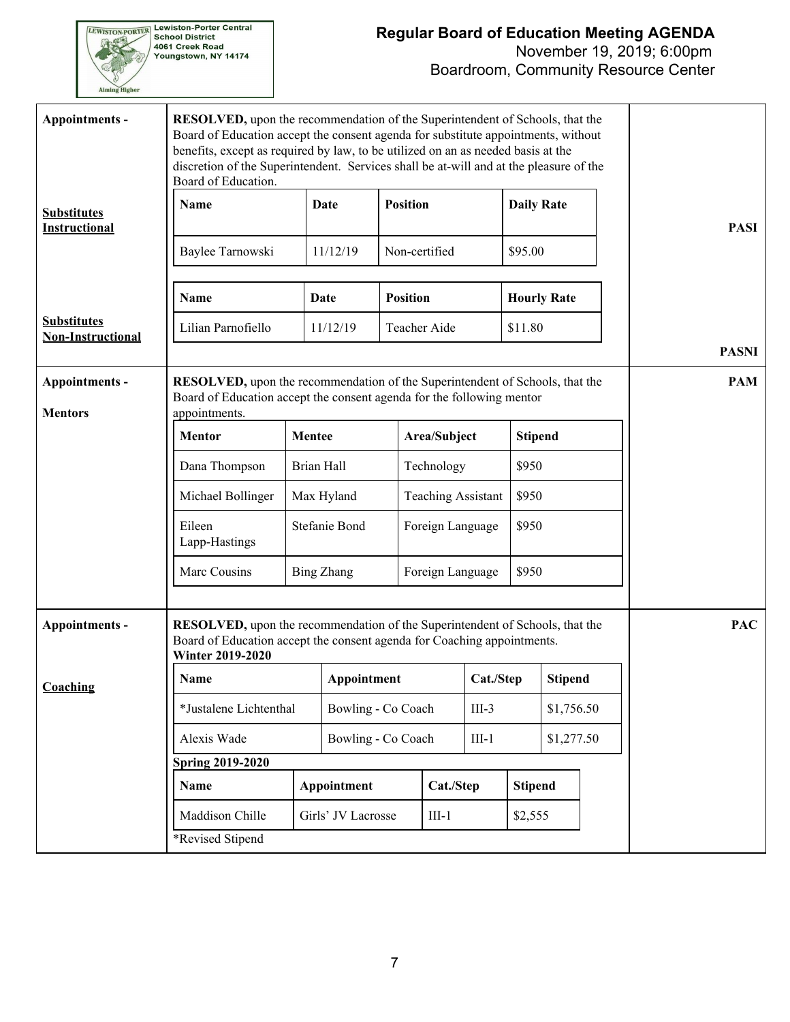**EWISTON-PORTER Lewiston-Porter Central**<br>School District<br>4061 Creek Road<br>Youngstown, NY 14174 Aiming Higher

## **Regular Board of Education Meeting AGENDA**

| Appointments -                                 | <b>RESOLVED</b> , upon the recommendation of the Superintendent of Schools, that the<br>Board of Education accept the consent agenda for substitute appointments, without<br>benefits, except as required by law, to be utilized on an as needed basis at the<br>discretion of the Superintendent. Services shall be at-will and at the pleasure of the<br>Board of Education. |                   |                    |                 |                           |           |                    |            |            |  |                            |
|------------------------------------------------|--------------------------------------------------------------------------------------------------------------------------------------------------------------------------------------------------------------------------------------------------------------------------------------------------------------------------------------------------------------------------------|-------------------|--------------------|-----------------|---------------------------|-----------|--------------------|------------|------------|--|----------------------------|
| <b>Substitutes</b><br><b>Instructional</b>     | Name                                                                                                                                                                                                                                                                                                                                                                           |                   | Date               | <b>Position</b> |                           |           | <b>Daily Rate</b>  |            |            |  | <b>PASI</b>                |
|                                                | Baylee Tarnowski                                                                                                                                                                                                                                                                                                                                                               |                   | 11/12/19           |                 | Non-certified             |           | \$95.00            |            |            |  |                            |
|                                                | Name                                                                                                                                                                                                                                                                                                                                                                           |                   | Date               | <b>Position</b> |                           |           | <b>Hourly Rate</b> |            |            |  |                            |
| <b>Substitutes</b><br><b>Non-Instructional</b> | Lilian Parnofiello                                                                                                                                                                                                                                                                                                                                                             |                   | 11/12/19           |                 | Teacher Aide              |           | \$11.80            |            |            |  |                            |
| <b>Appointments -</b>                          | RESOLVED, upon the recommendation of the Superintendent of Schools, that the                                                                                                                                                                                                                                                                                                   |                   |                    |                 |                           |           |                    |            |            |  | <b>PASNI</b><br><b>PAM</b> |
| <b>Mentors</b>                                 | Board of Education accept the consent agenda for the following mentor<br>appointments.                                                                                                                                                                                                                                                                                         |                   |                    |                 |                           |           |                    |            |            |  |                            |
|                                                | <b>Mentor</b>                                                                                                                                                                                                                                                                                                                                                                  | <b>Mentee</b>     | Area/Subject       |                 | <b>Stipend</b>            |           |                    |            |            |  |                            |
|                                                | Dana Thompson                                                                                                                                                                                                                                                                                                                                                                  | Brian Hall        |                    |                 | Technology                |           | \$950              |            |            |  |                            |
|                                                | Michael Bollinger                                                                                                                                                                                                                                                                                                                                                              | Max Hyland        |                    |                 | <b>Teaching Assistant</b> |           | \$950              |            |            |  |                            |
|                                                | Eileen<br>Lapp-Hastings                                                                                                                                                                                                                                                                                                                                                        | Stefanie Bond     |                    |                 | Foreign Language          |           | \$950              |            |            |  |                            |
|                                                | Marc Cousins                                                                                                                                                                                                                                                                                                                                                                   | <b>Bing Zhang</b> |                    |                 | Foreign Language          |           | \$950              |            |            |  |                            |
| Appointments -                                 | RESOLVED, upon the recommendation of the Superintendent of Schools, that the<br>Board of Education accept the consent agenda for Coaching appointments.<br><b>Winter 2019-2020</b>                                                                                                                                                                                             |                   |                    |                 |                           |           |                    |            | <b>PAC</b> |  |                            |
| Coaching                                       | Name                                                                                                                                                                                                                                                                                                                                                                           |                   |                    | Appointment     |                           | Cat./Step | <b>Stipend</b>     |            |            |  |                            |
|                                                | *Justalene Lichtenthal                                                                                                                                                                                                                                                                                                                                                         |                   | Bowling - Co Coach |                 |                           | $III-3$   |                    | \$1,756.50 |            |  |                            |
|                                                | Alexis Wade                                                                                                                                                                                                                                                                                                                                                                    |                   | Bowling - Co Coach |                 |                           | $III-1$   |                    | \$1,277.50 |            |  |                            |
|                                                | <b>Spring 2019-2020</b>                                                                                                                                                                                                                                                                                                                                                        |                   |                    |                 |                           |           |                    |            |            |  |                            |
|                                                | Name                                                                                                                                                                                                                                                                                                                                                                           |                   | Appointment        |                 | Cat./Step                 |           | <b>Stipend</b>     |            |            |  |                            |
|                                                | Maddison Chille                                                                                                                                                                                                                                                                                                                                                                |                   | Girls' JV Lacrosse |                 | $III-1$                   |           | \$2,555            |            |            |  |                            |
|                                                | *Revised Stipend                                                                                                                                                                                                                                                                                                                                                               |                   |                    |                 |                           |           |                    |            |            |  |                            |